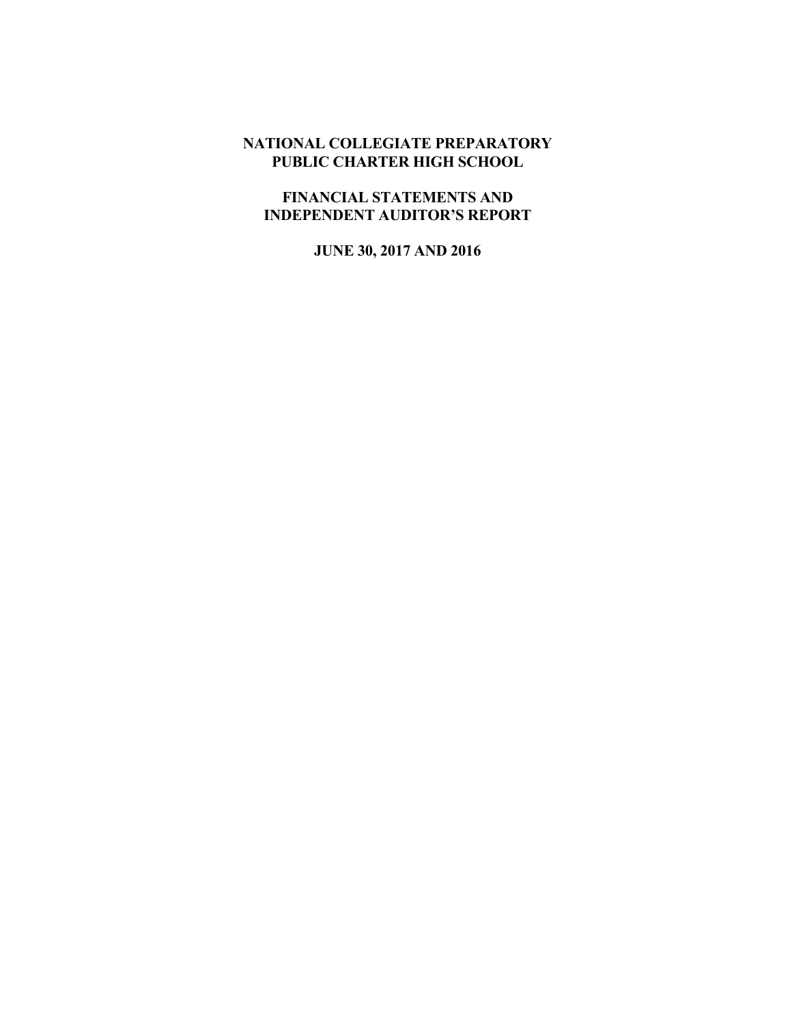# **NATIONAL COLLEGIATE PREPARATORY PUBLIC CHARTER HIGH SCHOOL**

# **FINANCIAL STATEMENTS AND INDEPENDENT AUDITOR'S REPORT**

**JUNE 30, 2017 AND 2016**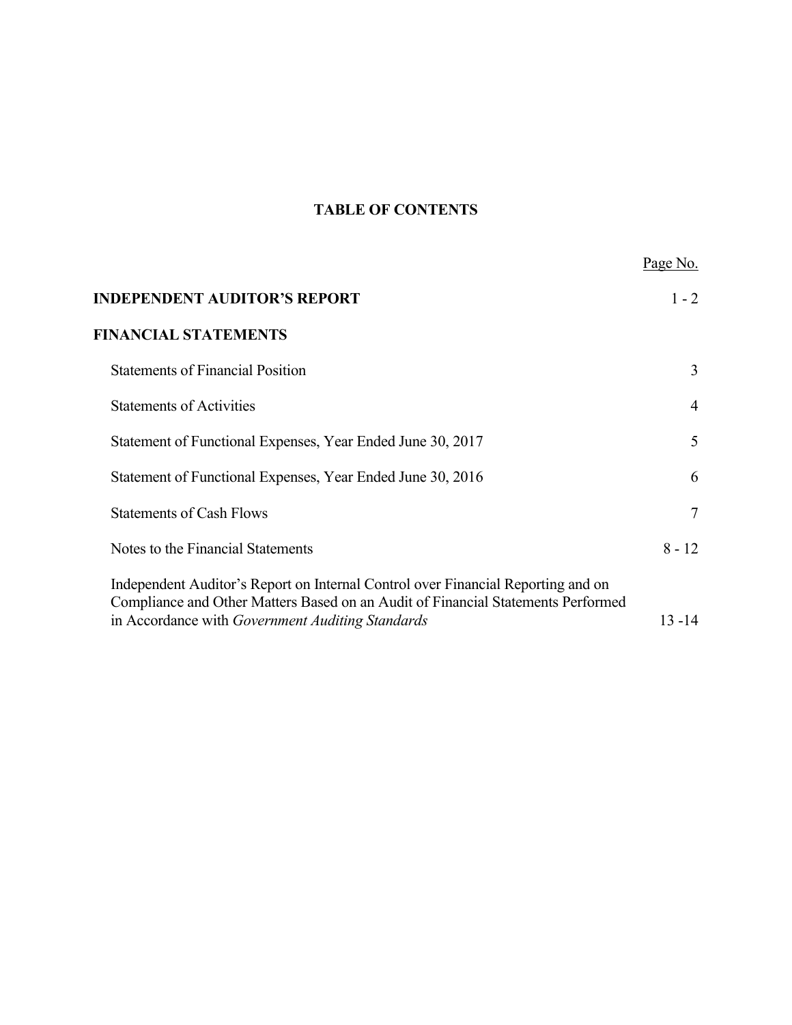# **TABLE OF CONTENTS**

|                                                                                                                                      | Page No.       |
|--------------------------------------------------------------------------------------------------------------------------------------|----------------|
| <b>INDEPENDENT AUDITOR'S REPORT</b>                                                                                                  | $1 - 2$        |
| <b>FINANCIAL STATEMENTS</b>                                                                                                          |                |
| <b>Statements of Financial Position</b>                                                                                              | 3              |
| <b>Statements of Activities</b>                                                                                                      | $\overline{4}$ |
| Statement of Functional Expenses, Year Ended June 30, 2017                                                                           | 5              |
| Statement of Functional Expenses, Year Ended June 30, 2016                                                                           | 6              |
| <b>Statements of Cash Flows</b>                                                                                                      | 7              |
| Notes to the Financial Statements                                                                                                    | $8 - 12$       |
| Independent Auditor's Report on Internal Control over Financial Reporting and on                                                     |                |
| Compliance and Other Matters Based on an Audit of Financial Statements Performed<br>in Accordance with Government Auditing Standards | $13 - 14$      |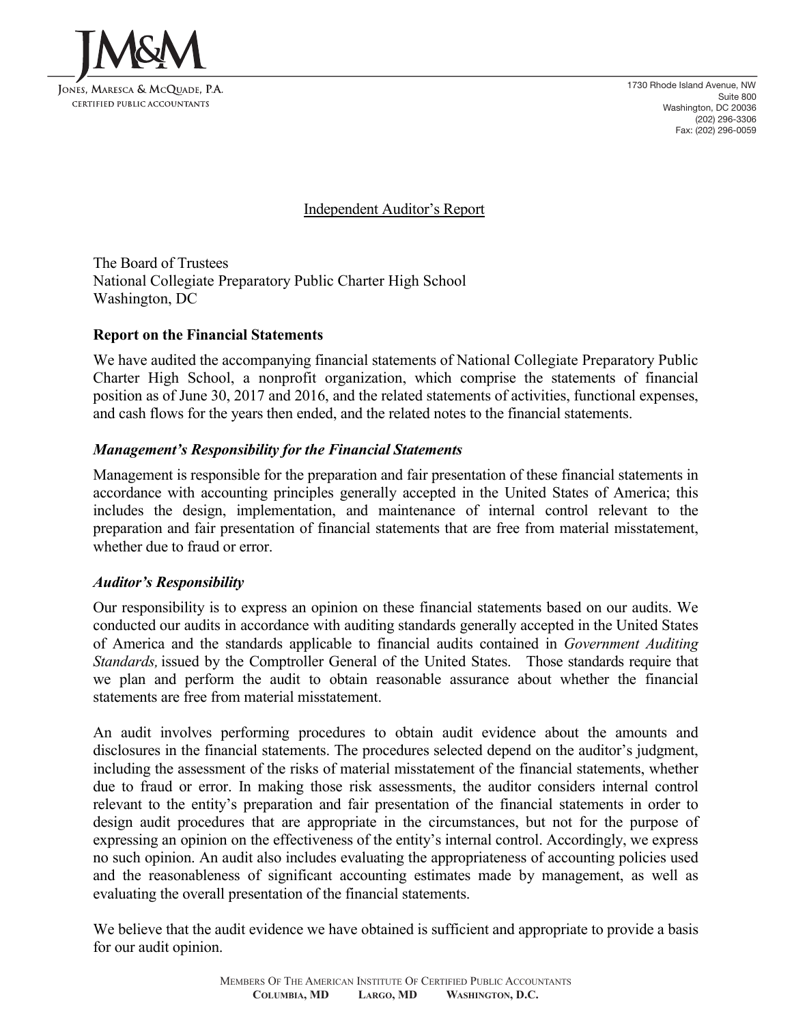

1730 Rhode Island Avenue, NW Suite 800 Washington, DC 20036 (202) 296-3306 Fax: (202) 296-0059

Independent Auditor's Report

The Board of Trustees National Collegiate Preparatory Public Charter High School Washington, DC

# **Report on the Financial Statements**

We have audited the accompanying financial statements of National Collegiate Preparatory Public Charter High School, a nonprofit organization, which comprise the statements of financial position as of June 30, 2017 and 2016, and the related statements of activities, functional expenses, and cash flows for the years then ended, and the related notes to the financial statements.

# *Management's Responsibility for the Financial Statements*

Management is responsible for the preparation and fair presentation of these financial statements in accordance with accounting principles generally accepted in the United States of America; this includes the design, implementation, and maintenance of internal control relevant to the preparation and fair presentation of financial statements that are free from material misstatement, whether due to fraud or error.

### *Auditor's Responsibility*

Our responsibility is to express an opinion on these financial statements based on our audits. We conducted our audits in accordance with auditing standards generally accepted in the United States of America and the standards applicable to financial audits contained in *Government Auditing Standards,* issued by the Comptroller General of the United States. Those standards require that we plan and perform the audit to obtain reasonable assurance about whether the financial statements are free from material misstatement.

An audit involves performing procedures to obtain audit evidence about the amounts and disclosures in the financial statements. The procedures selected depend on the auditor's judgment, including the assessment of the risks of material misstatement of the financial statements, whether due to fraud or error. In making those risk assessments, the auditor considers internal control relevant to the entity's preparation and fair presentation of the financial statements in order to design audit procedures that are appropriate in the circumstances, but not for the purpose of expressing an opinion on the effectiveness of the entity's internal control. Accordingly, we express no such opinion. An audit also includes evaluating the appropriateness of accounting policies used and the reasonableness of significant accounting estimates made by management, as well as evaluating the overall presentation of the financial statements.

We believe that the audit evidence we have obtained is sufficient and appropriate to provide a basis for our audit opinion.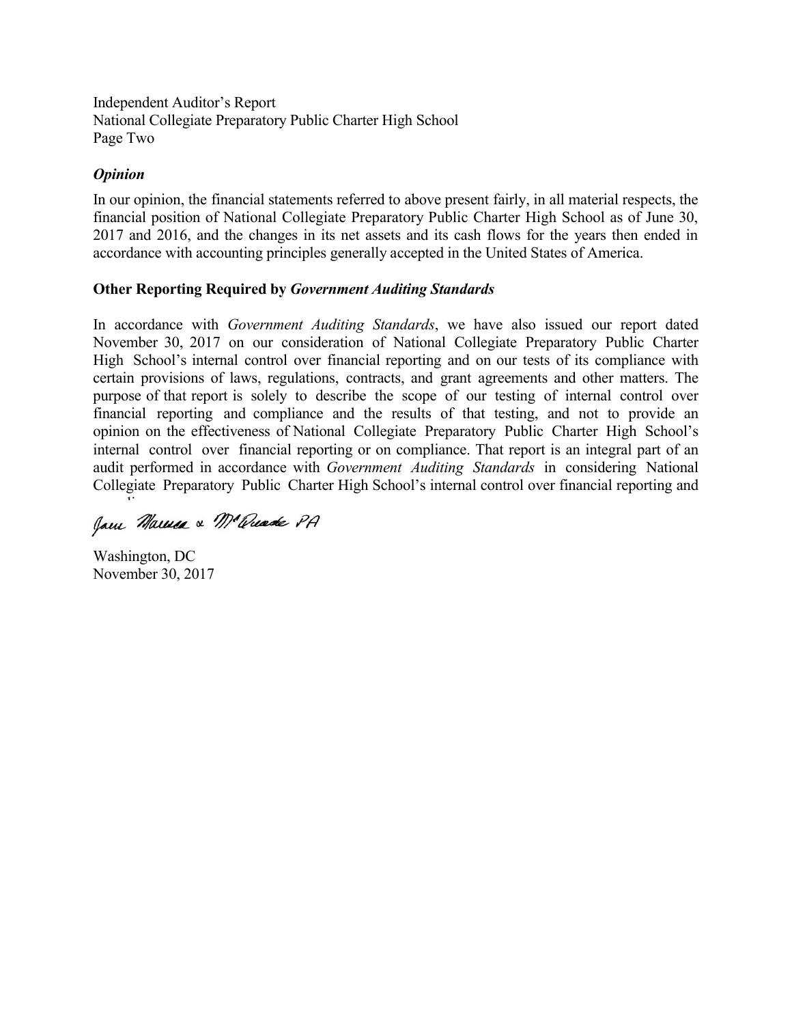Independent Auditor's Report National Collegiate Preparatory Public Charter High School Page Two

### *Opinion*

In our opinion, the financial statements referred to above present fairly, in all material respects, the financial position of National Collegiate Preparatory Public Charter High School as of June 30, 2017 and 2016, and the changes in its net assets and its cash flows for the years then ended in accordance with accounting principles generally accepted in the United States of America.

# **Other Reporting Required by** *Government Auditing Standards*

In accordance with *Government Auditing Standards*, we have also issued our report dated November 30, 2017 on our consideration of National Collegiate Preparatory Public Charter High School's internal control over financial reporting and on our tests of its compliance with certain provisions of laws, regulations, contracts, and grant agreements and other matters. The purpose of that report is solely to describe the scope of our testing of internal control over financial reporting and compliance and the results of that testing, and not to provide an opinion on the effectiveness of National Collegiate Preparatory Public Charter High School's internal control over financial reporting or on compliance. That report is an integral part of an audit performed in accordance with *Government Auditing Standards* in considering National Collegiate Preparatory Public Charter High School's internal control over financial reporting and

Jam Marusa & Mc Quade PA

Washington, DC November 30, 2017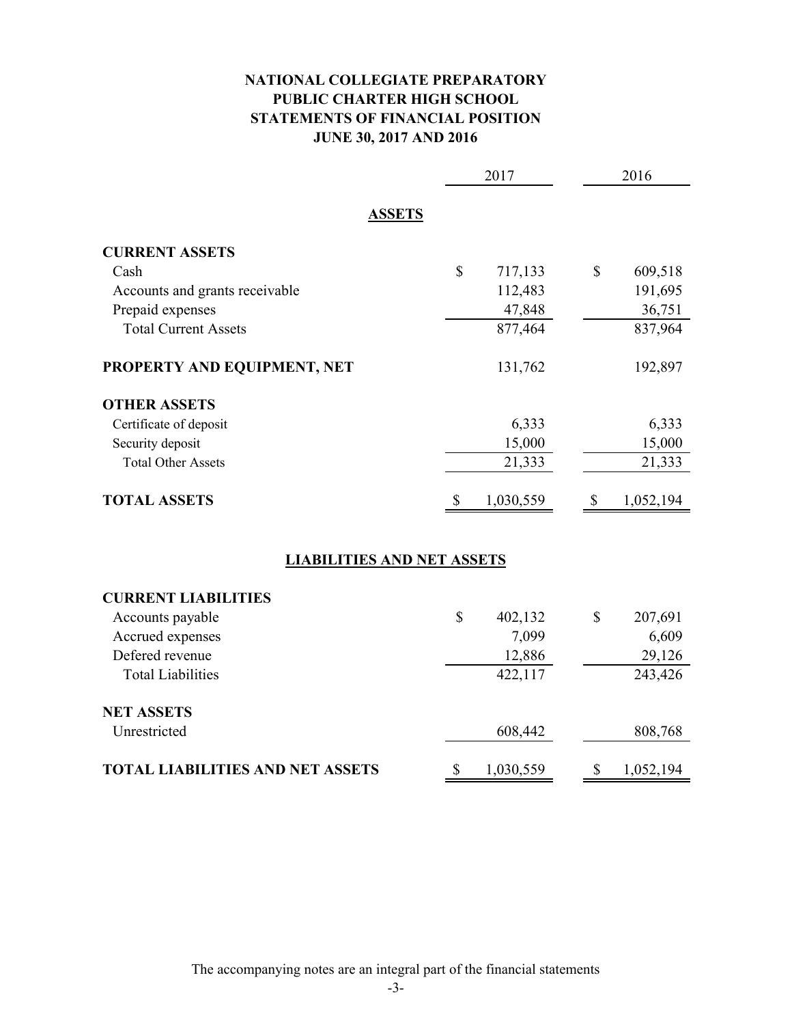# **NATIONAL COLLEGIATE PREPARATORY PUBLIC CHARTER HIGH SCHOOL STATEMENTS OF FINANCIAL POSITION JUNE 30, 2017 AND 2016**

|                                         |             | 2017      |              | 2016      |
|-----------------------------------------|-------------|-----------|--------------|-----------|
| <b>ASSETS</b>                           |             |           |              |           |
|                                         |             |           |              |           |
| <b>CURRENT ASSETS</b>                   |             |           |              |           |
| Cash                                    | $\mathbf S$ | 717,133   | $\mathbb{S}$ | 609,518   |
| Accounts and grants receivable          |             | 112,483   |              | 191,695   |
| Prepaid expenses                        |             | 47,848    |              | 36,751    |
| <b>Total Current Assets</b>             |             | 877,464   |              | 837,964   |
| PROPERTY AND EQUIPMENT, NET             |             | 131,762   |              | 192,897   |
| <b>OTHER ASSETS</b>                     |             |           |              |           |
| Certificate of deposit                  |             | 6,333     |              | 6,333     |
| Security deposit                        |             | 15,000    |              | 15,000    |
| <b>Total Other Assets</b>               |             | 21,333    |              | 21,333    |
| <b>TOTAL ASSETS</b>                     | S           | 1,030,559 | \$           | 1,052,194 |
| <b>LIABILITIES AND NET ASSETS</b>       |             |           |              |           |
| <b>CURRENT LIABILITIES</b>              |             |           |              |           |
| Accounts payable                        | \$          | 402,132   | $\mathbf S$  | 207,691   |
| Accrued expenses                        |             | 7,099     |              | 6,609     |
| Defered revenue                         |             | 12,886    |              | 29,126    |
| <b>Total Liabilities</b>                |             | 422,117   |              | 243,426   |
| <b>NET ASSETS</b>                       |             |           |              |           |
| Unrestricted                            |             | 608,442   |              | 808,768   |
| <b>TOTAL LIABILITIES AND NET ASSETS</b> | \$          | 1,030,559 | \$           | 1,052,194 |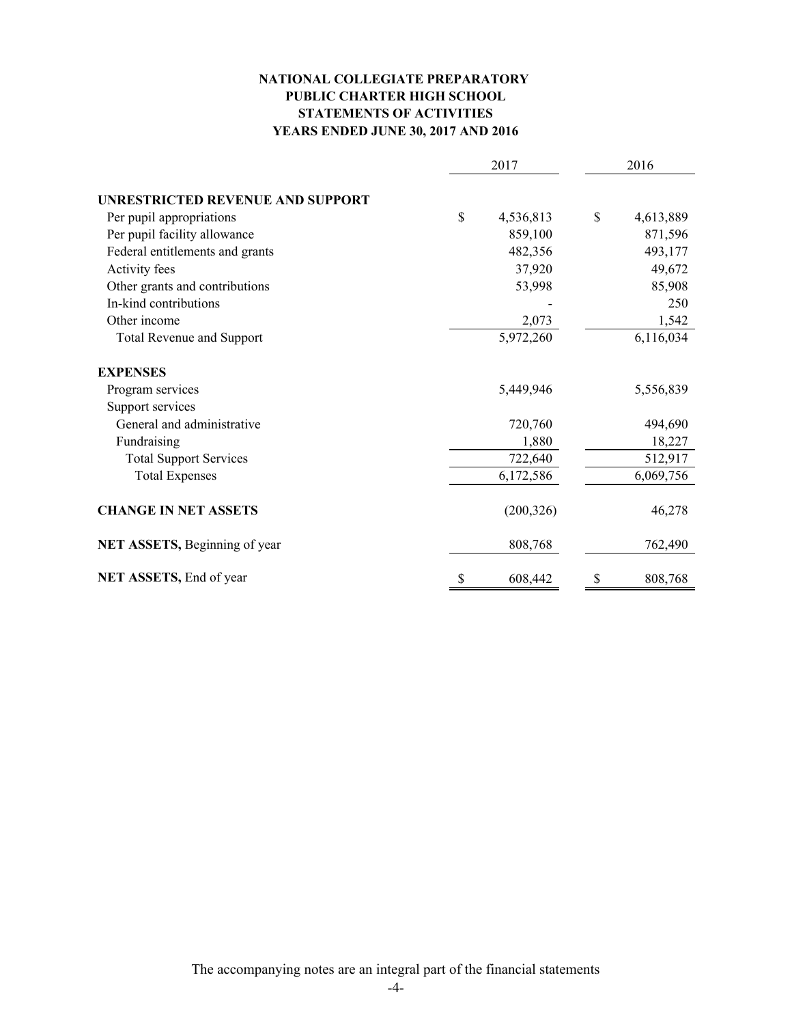### **NATIONAL COLLEGIATE PREPARATORY PUBLIC CHARTER HIGH SCHOOL STATEMENTS OF ACTIVITIES YEARS ENDED JUNE 30, 2017 AND 2016**

|                                         | 2017            | 2016         |           |  |
|-----------------------------------------|-----------------|--------------|-----------|--|
| <b>UNRESTRICTED REVENUE AND SUPPORT</b> |                 |              |           |  |
| Per pupil appropriations                | \$<br>4,536,813 | $\mathbb{S}$ | 4,613,889 |  |
| Per pupil facility allowance            | 859,100         |              | 871,596   |  |
| Federal entitlements and grants         | 482,356         |              | 493,177   |  |
| Activity fees                           | 37,920          |              | 49,672    |  |
| Other grants and contributions          | 53,998          |              | 85,908    |  |
| In-kind contributions                   |                 |              | 250       |  |
| Other income                            | 2,073           |              | 1,542     |  |
| <b>Total Revenue and Support</b>        | 5,972,260       |              | 6,116,034 |  |
| <b>EXPENSES</b>                         |                 |              |           |  |
| Program services                        | 5,449,946       |              | 5,556,839 |  |
| Support services                        |                 |              |           |  |
| General and administrative              | 720,760         |              | 494,690   |  |
| Fundraising                             | 1,880           |              | 18,227    |  |
| <b>Total Support Services</b>           | 722,640         |              | 512,917   |  |
| <b>Total Expenses</b>                   | 6,172,586       |              | 6,069,756 |  |
| <b>CHANGE IN NET ASSETS</b>             | (200, 326)      |              | 46,278    |  |
| NET ASSETS, Beginning of year           | 808,768         |              | 762,490   |  |
| NET ASSETS, End of year                 | \$<br>608,442   | \$           | 808,768   |  |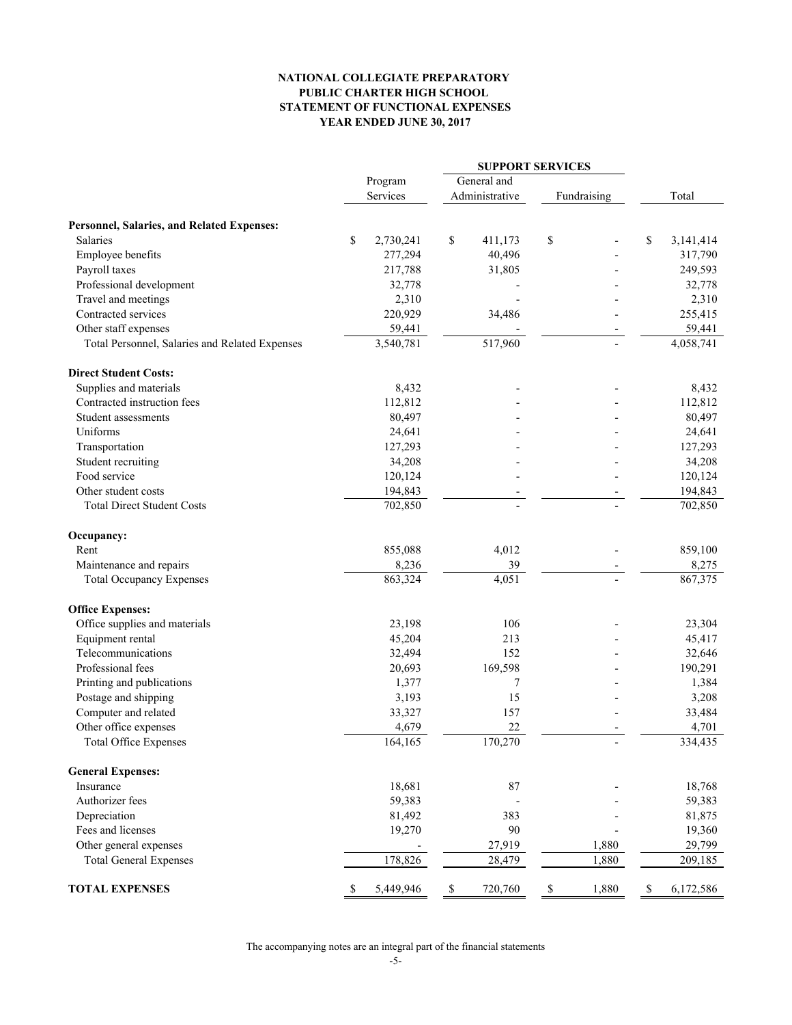#### **NATIONAL COLLEGIATE PREPARATORY PUBLIC CHARTER HIGH SCHOOL STATEMENT OF FUNCTIONAL EXPENSES YEAR ENDED JUNE 30, 2017**

|                                                | <b>SUPPORT SERVICES</b> |           |             |                |             |                 |
|------------------------------------------------|-------------------------|-----------|-------------|----------------|-------------|-----------------|
|                                                |                         | Program   |             | General and    |             |                 |
|                                                |                         | Services  |             | Administrative | Fundraising | Total           |
| Personnel, Salaries, and Related Expenses:     |                         |           |             |                |             |                 |
| <b>Salaries</b>                                | \$                      | 2,730,241 | \$          | 411,173        | \$          | \$<br>3,141,414 |
| Employee benefits                              |                         | 277,294   |             | 40,496         |             | 317,790         |
| Payroll taxes                                  |                         | 217,788   |             | 31,805         |             | 249,593         |
| Professional development                       |                         | 32,778    |             |                |             | 32,778          |
| Travel and meetings                            |                         | 2,310     |             |                |             | 2,310           |
| Contracted services                            |                         | 220,929   |             | 34,486         |             | 255,415         |
| Other staff expenses                           |                         | 59,441    |             |                |             | 59,441          |
| Total Personnel, Salaries and Related Expenses |                         | 3,540,781 |             | 517,960        |             | 4,058,741       |
| <b>Direct Student Costs:</b>                   |                         |           |             |                |             |                 |
| Supplies and materials                         |                         | 8,432     |             |                |             | 8,432           |
| Contracted instruction fees                    |                         | 112,812   |             |                |             | 112,812         |
| Student assessments                            |                         | 80,497    |             |                |             | 80,497          |
| Uniforms                                       |                         | 24,641    |             |                |             | 24,641          |
| Transportation                                 |                         | 127,293   |             |                |             | 127,293         |
| Student recruiting                             |                         | 34,208    |             |                |             | 34,208          |
| Food service                                   |                         | 120,124   |             |                |             | 120,124         |
| Other student costs                            |                         | 194,843   |             |                |             | 194,843         |
| <b>Total Direct Student Costs</b>              |                         | 702,850   |             |                |             | 702,850         |
| Occupancy:                                     |                         |           |             |                |             |                 |
| Rent                                           |                         | 855,088   |             | 4,012          |             | 859,100         |
| Maintenance and repairs                        |                         | 8,236     |             | 39             |             | 8,275           |
| <b>Total Occupancy Expenses</b>                |                         | 863,324   |             | 4,051          |             | 867,375         |
| <b>Office Expenses:</b>                        |                         |           |             |                |             |                 |
| Office supplies and materials                  |                         | 23,198    |             | 106            |             | 23,304          |
| Equipment rental                               |                         | 45,204    |             | 213            |             | 45,417          |
| Telecommunications                             |                         | 32,494    |             | 152            |             | 32,646          |
| Professional fees                              |                         | 20,693    |             | 169,598        |             | 190,291         |
| Printing and publications                      |                         | 1,377     |             | 7              |             | 1,384           |
| Postage and shipping                           |                         | 3,193     |             | 15             |             | 3,208           |
| Computer and related                           |                         | 33,327    |             | 157            |             | 33,484          |
| Other office expenses                          |                         | 4,679     |             | 22             |             | 4,701           |
| <b>Total Office Expenses</b>                   |                         | 164,165   |             | 170,270        |             | 334,435         |
| <b>General Expenses:</b>                       |                         |           |             |                |             |                 |
| Insurance                                      |                         | 18,681    |             | 87             |             | 18,768          |
| Authorizer fees                                |                         | 59,383    |             |                |             | 59,383          |
| Depreciation                                   |                         | 81,492    |             | 383            |             | 81,875          |
| Fees and licenses                              |                         | 19,270    |             | 90             |             | 19,360          |
| Other general expenses                         |                         |           |             | 27,919         | 1,880       | 29,799          |
| <b>Total General Expenses</b>                  |                         | 178,826   |             | 28,479         | 1,880       | 209,185         |
| <b>TOTAL EXPENSES</b>                          | \$                      | 5,449,946 | $\mathbb S$ | 720,760        | \$<br>1,880 | \$<br>6,172,586 |

The accompanying notes are an integral part of the financial statements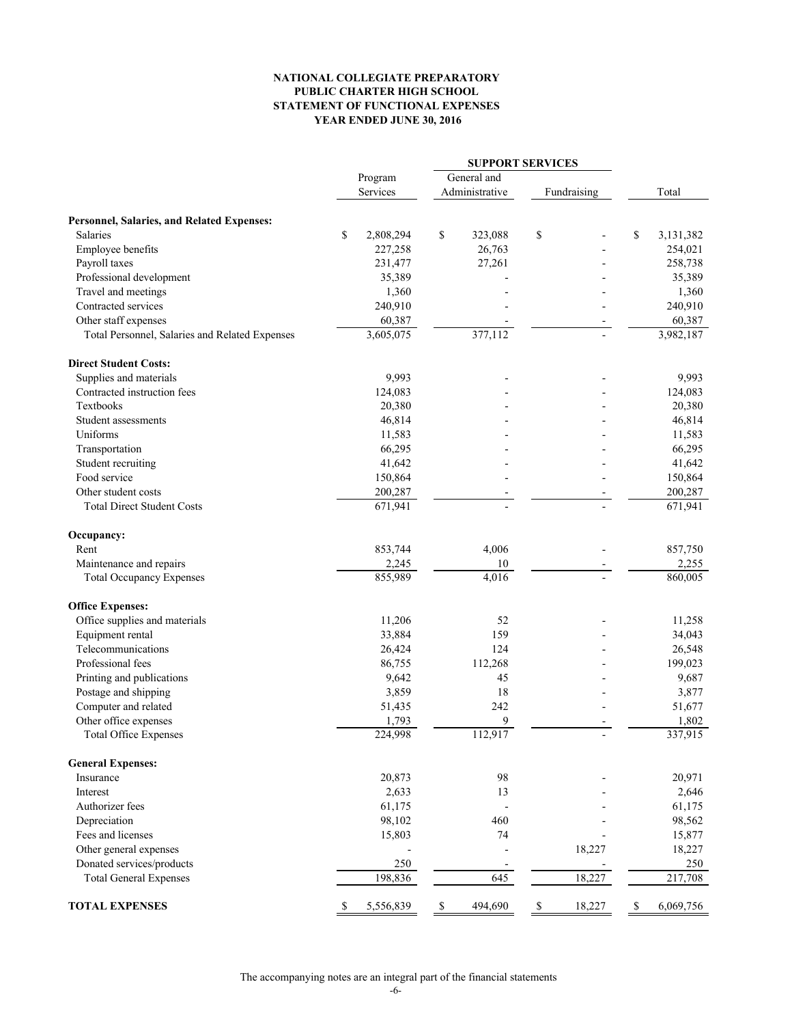#### **NATIONAL COLLEGIATE PREPARATORY PUBLIC CHARTER HIGH SCHOOL STATEMENT OF FUNCTIONAL EXPENSES YEAR ENDED JUNE 30, 2016**

|                                                   | <b>SUPPORT SERVICES</b> |                          |                       |                 |
|---------------------------------------------------|-------------------------|--------------------------|-----------------------|-----------------|
|                                                   | Program                 | General and              |                       |                 |
|                                                   | Services                | Administrative           | Fundraising           | Total           |
| <b>Personnel, Salaries, and Related Expenses:</b> |                         |                          |                       |                 |
| Salaries                                          | \$<br>2,808,294         | \$<br>323,088            | \$                    | \$<br>3,131,382 |
| Employee benefits                                 | 227,258                 | 26,763                   |                       | 254,021         |
| Payroll taxes                                     | 231,477                 | 27,261                   |                       | 258,738         |
| Professional development                          | 35,389                  |                          |                       | 35,389          |
| Travel and meetings                               | 1,360                   |                          |                       | 1,360           |
| Contracted services                               | 240,910                 |                          |                       | 240,910         |
| Other staff expenses                              | 60,387                  |                          |                       | 60,387          |
| Total Personnel, Salaries and Related Expenses    | 3,605,075               | 377,112                  |                       | 3,982,187       |
| <b>Direct Student Costs:</b>                      |                         |                          |                       |                 |
| Supplies and materials                            | 9,993                   |                          |                       | 9,993           |
| Contracted instruction fees                       | 124,083                 |                          |                       | 124,083         |
| Textbooks                                         | 20,380                  |                          |                       | 20,380          |
| Student assessments                               | 46,814                  |                          |                       | 46,814          |
| Uniforms                                          | 11,583                  |                          |                       | 11,583          |
| Transportation                                    | 66,295                  |                          |                       | 66,295          |
| Student recruiting                                | 41,642                  |                          |                       | 41,642          |
| Food service                                      | 150,864                 |                          |                       | 150,864         |
| Other student costs                               | 200,287                 |                          |                       | 200,287         |
| <b>Total Direct Student Costs</b>                 | 671,941                 |                          |                       | 671,941         |
| Occupancy:                                        |                         |                          |                       |                 |
| Rent                                              | 853,744                 | 4,006                    |                       | 857,750         |
| Maintenance and repairs                           | 2,245                   | 10                       |                       | 2,255           |
| <b>Total Occupancy Expenses</b>                   | 855,989                 | 4,016                    |                       | 860,005         |
| <b>Office Expenses:</b>                           |                         |                          |                       |                 |
| Office supplies and materials                     | 11,206                  | 52                       |                       | 11,258          |
| Equipment rental                                  | 33,884                  | 159                      |                       | 34,043          |
| Telecommunications                                | 26,424                  | 124                      |                       | 26,548          |
| Professional fees                                 | 86,755                  | 112,268                  |                       | 199,023         |
| Printing and publications                         | 9,642                   | 45                       |                       | 9,687           |
| Postage and shipping                              | 3,859                   | 18                       |                       | 3,877           |
| Computer and related                              | 51,435                  | 242                      |                       | 51,677          |
| Other office expenses                             | 1,793                   | 9                        |                       | 1,802           |
| <b>Total Office Expenses</b>                      | 224,998                 | 112,917                  |                       | 337,915         |
| <b>General Expenses:</b>                          |                         |                          |                       |                 |
| Insurance                                         | 20,873                  | 98                       |                       | 20,971          |
| Interest                                          | 2,633                   | 13                       |                       | 2,646           |
| Authorizer fees                                   | 61,175                  | $\overline{\phantom{m}}$ |                       | 61,175          |
| Depreciation                                      | 98,102                  | 460                      |                       | 98,562          |
| Fees and licenses                                 | 15,803                  | 74                       |                       | 15,877          |
| Other general expenses                            |                         |                          | 18,227                | 18,227          |
| Donated services/products                         | 250                     |                          |                       | 250             |
| <b>Total General Expenses</b>                     | 198,836                 | 645                      | 18,227                | 217,708         |
| <b>TOTAL EXPENSES</b>                             | \$<br>5,556,839         | $\mathbb{S}$<br>494,690  | $\mathbb S$<br>18,227 | \$<br>6,069,756 |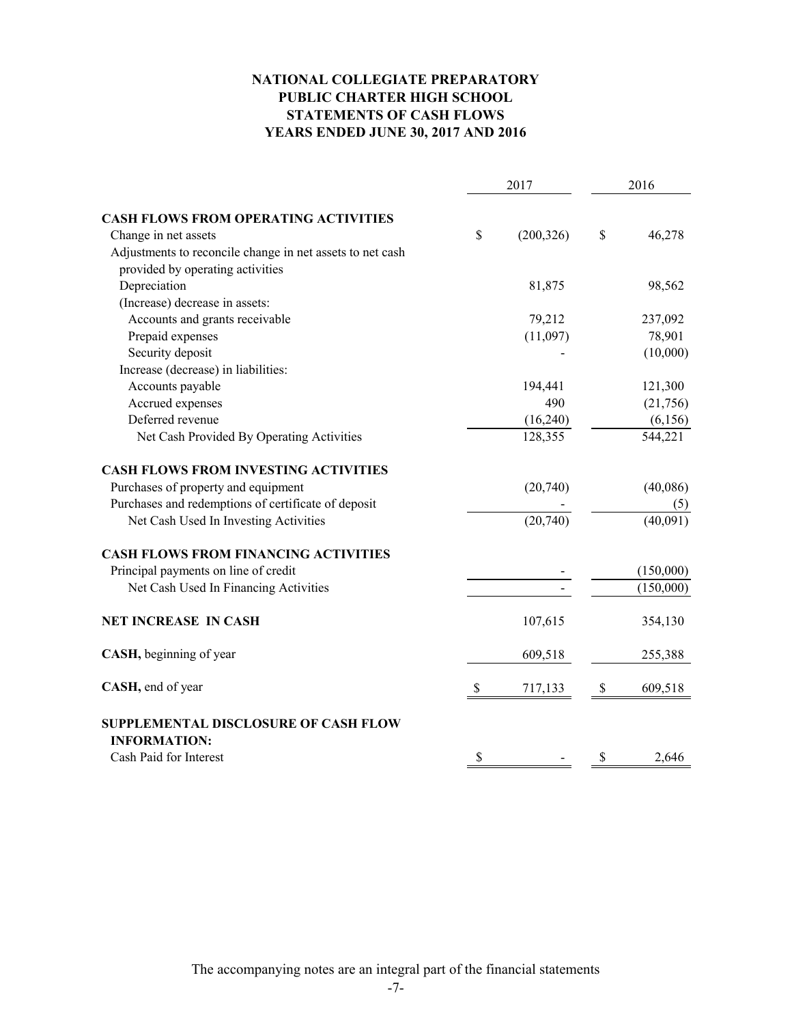### **NATIONAL COLLEGIATE PREPARATORY PUBLIC CHARTER HIGH SCHOOL STATEMENTS OF CASH FLOWS YEARS ENDED JUNE 30, 2017 AND 2016**

|                                                             |    | 2017       | 2016 |           |  |
|-------------------------------------------------------------|----|------------|------|-----------|--|
|                                                             |    |            |      |           |  |
| <b>CASH FLOWS FROM OPERATING ACTIVITIES</b>                 |    |            |      |           |  |
| Change in net assets                                        | \$ | (200, 326) | \$   | 46,278    |  |
| Adjustments to reconcile change in net assets to net cash   |    |            |      |           |  |
| provided by operating activities                            |    |            |      |           |  |
| Depreciation                                                |    | 81,875     |      | 98,562    |  |
| (Increase) decrease in assets:                              |    |            |      |           |  |
| Accounts and grants receivable                              |    | 79,212     |      | 237,092   |  |
| Prepaid expenses                                            |    | (11,097)   |      | 78,901    |  |
| Security deposit                                            |    |            |      | (10,000)  |  |
| Increase (decrease) in liabilities:                         |    |            |      |           |  |
| Accounts payable                                            |    | 194,441    |      | 121,300   |  |
| Accrued expenses                                            |    | 490        |      | (21, 756) |  |
| Deferred revenue                                            |    | (16,240)   |      | (6, 156)  |  |
| Net Cash Provided By Operating Activities                   |    | 128,355    |      | 544,221   |  |
| <b>CASH FLOWS FROM INVESTING ACTIVITIES</b>                 |    |            |      |           |  |
| Purchases of property and equipment                         |    | (20,740)   |      | (40,086)  |  |
| Purchases and redemptions of certificate of deposit         |    |            |      | (5)       |  |
| Net Cash Used In Investing Activities                       |    | (20, 740)  |      | (40,091)  |  |
| <b>CASH FLOWS FROM FINANCING ACTIVITIES</b>                 |    |            |      |           |  |
| Principal payments on line of credit                        |    |            |      | (150,000) |  |
| Net Cash Used In Financing Activities                       |    |            |      | (150,000) |  |
| <b>NET INCREASE IN CASH</b>                                 |    | 107,615    |      | 354,130   |  |
| CASH, beginning of year                                     |    | 609,518    |      | 255,388   |  |
| CASH, end of year                                           | Ъ, | 717,133    | S    | 609,518   |  |
|                                                             |    |            |      |           |  |
| SUPPLEMENTAL DISCLOSURE OF CASH FLOW<br><b>INFORMATION:</b> |    |            |      |           |  |
| Cash Paid for Interest                                      | \$ |            | S    | 2,646     |  |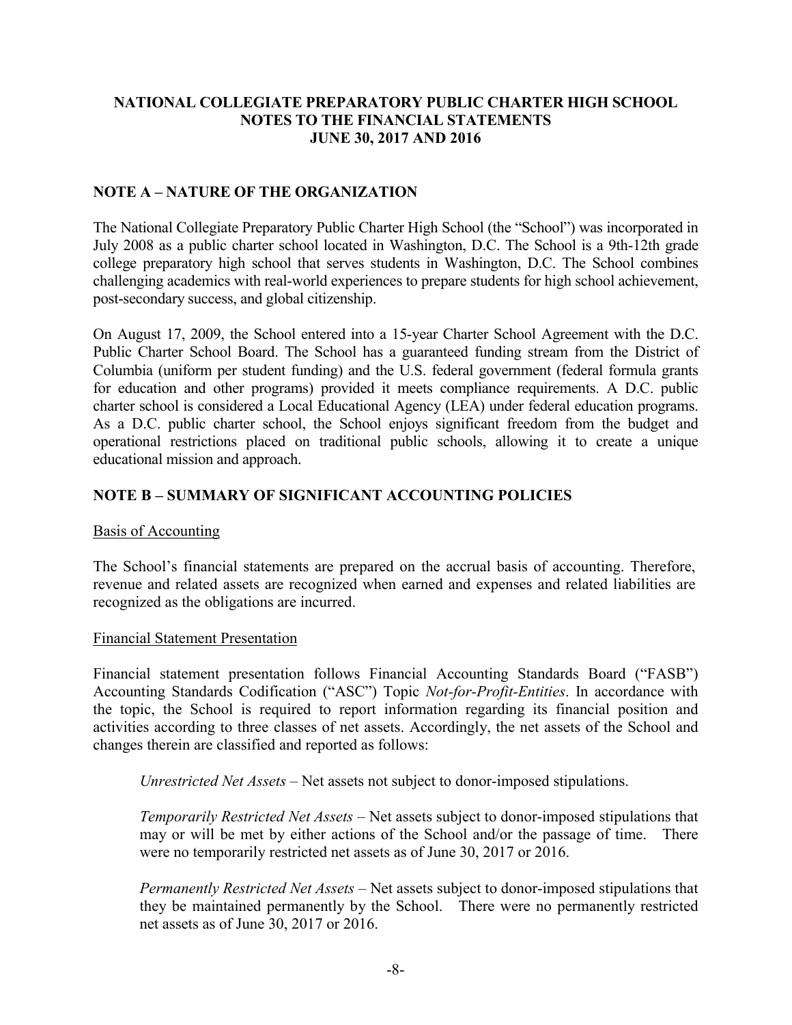# **NOTE A – NATURE OF THE ORGANIZATION**

The National Collegiate Preparatory Public Charter High School (the "School") was incorporated in July 2008 as a public charter school located in Washington, D.C. The School is a 9th-12th grade college preparatory high school that serves students in Washington, D.C. The School combines challenging academics with real-world experiences to prepare students for high school achievement, post-secondary success, and global citizenship.

On August 17, 2009, the School entered into a 15-year Charter School Agreement with the D.C. Public Charter School Board. The School has a guaranteed funding stream from the District of Columbia (uniform per student funding) and the U.S. federal government (federal formula grants for education and other programs) provided it meets compliance requirements. A D.C. public charter school is considered a Local Educational Agency (LEA) under federal education programs. As a D.C. public charter school, the School enjoys significant freedom from the budget and operational restrictions placed on traditional public schools, allowing it to create a unique educational mission and approach.

# **NOTE B – SUMMARY OF SIGNIFICANT ACCOUNTING POLICIES**

### Basis of Accounting

The School's financial statements are prepared on the accrual basis of accounting. Therefore, revenue and related assets are recognized when earned and expenses and related liabilities are recognized as the obligations are incurred.

### Financial Statement Presentation

Financial statement presentation follows Financial Accounting Standards Board ("FASB") Accounting Standards Codification ("ASC") Topic *Not-for-Profit-Entities*. In accordance with the topic, the School is required to report information regarding its financial position and activities according to three classes of net assets. Accordingly, the net assets of the School and changes therein are classified and reported as follows:

*Unrestricted Net Assets* – Net assets not subject to donor-imposed stipulations.

*Temporarily Restricted Net Assets* – Net assets subject to donor-imposed stipulations that may or will be met by either actions of the School and/or the passage of time. There were no temporarily restricted net assets as of June 30, 2017 or 2016.

*Permanently Restricted Net Assets* – Net assets subject to donor-imposed stipulations that they be maintained permanently by the School. There were no permanently restricted net assets as of June 30, 2017 or 2016.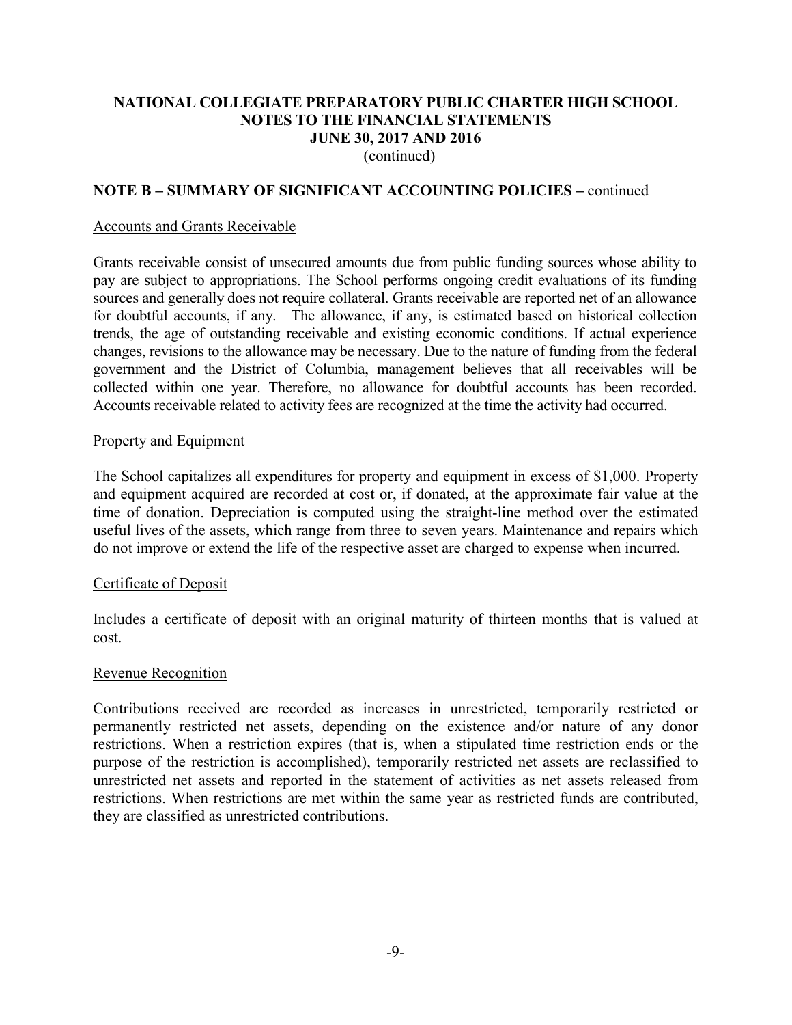(continued)

### **NOTE B – SUMMARY OF SIGNIFICANT ACCOUNTING POLICIES –** continued

### Accounts and Grants Receivable

Grants receivable consist of unsecured amounts due from public funding sources whose ability to pay are subject to appropriations. The School performs ongoing credit evaluations of its funding sources and generally does not require collateral. Grants receivable are reported net of an allowance for doubtful accounts, if any. The allowance, if any, is estimated based on historical collection trends, the age of outstanding receivable and existing economic conditions. If actual experience changes, revisions to the allowance may be necessary. Due to the nature of funding from the federal government and the District of Columbia, management believes that all receivables will be collected within one year. Therefore, no allowance for doubtful accounts has been recorded. Accounts receivable related to activity fees are recognized at the time the activity had occurred.

### Property and Equipment

The School capitalizes all expenditures for property and equipment in excess of \$1,000. Property and equipment acquired are recorded at cost or, if donated, at the approximate fair value at the time of donation. Depreciation is computed using the straight-line method over the estimated useful lives of the assets, which range from three to seven years. Maintenance and repairs which do not improve or extend the life of the respective asset are charged to expense when incurred.

### Certificate of Deposit

Includes a certificate of deposit with an original maturity of thirteen months that is valued at cost.

### Revenue Recognition

Contributions received are recorded as increases in unrestricted, temporarily restricted or permanently restricted net assets, depending on the existence and/or nature of any donor restrictions. When a restriction expires (that is, when a stipulated time restriction ends or the purpose of the restriction is accomplished), temporarily restricted net assets are reclassified to unrestricted net assets and reported in the statement of activities as net assets released from restrictions. When restrictions are met within the same year as restricted funds are contributed, they are classified as unrestricted contributions.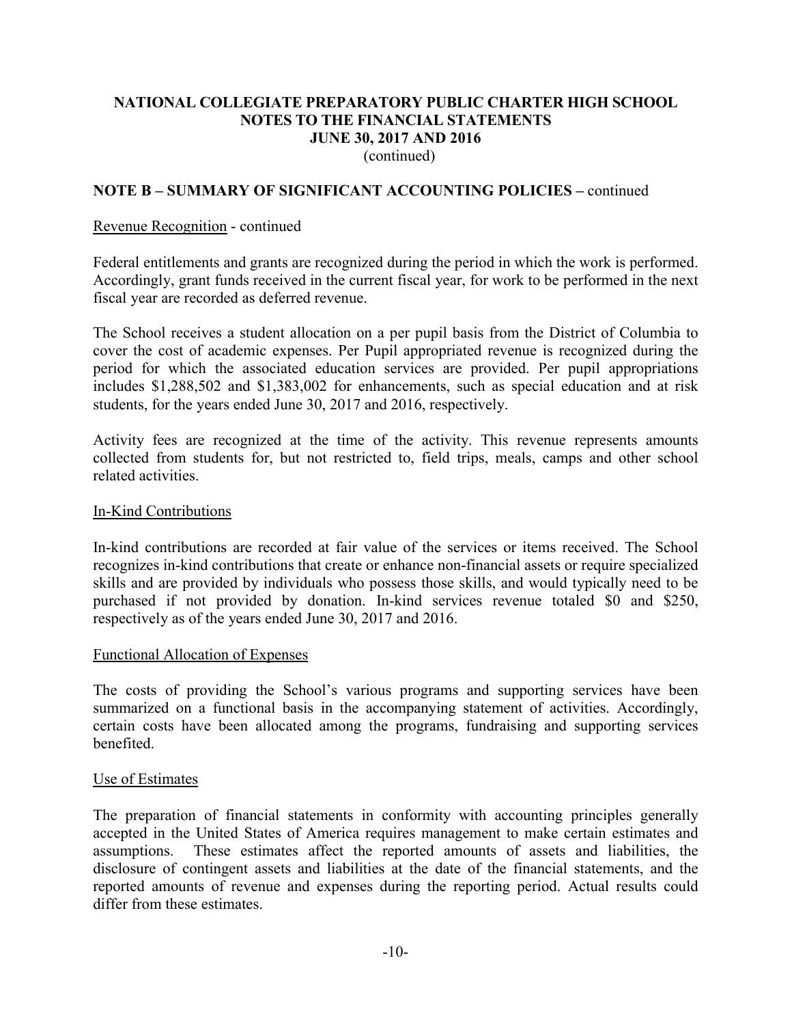(continued)

### **NOTE B – SUMMARY OF SIGNIFICANT ACCOUNTING POLICIES –** continued

### Revenue Recognition - continued

Federal entitlements and grants are recognized during the period in which the work is performed. Accordingly, grant funds received in the current fiscal year, for work to be performed in the next fiscal year are recorded as deferred revenue.

The School receives a student allocation on a per pupil basis from the District of Columbia to cover the cost of academic expenses. Per Pupil appropriated revenue is recognized during the period for which the associated education services are provided. Per pupil appropriations includes \$1,288,502 and \$1,383,002 for enhancements, such as special education and at risk students, for the years ended June 30, 2017 and 2016, respectively.

Activity fees are recognized at the time of the activity. This revenue represents amounts collected from students for, but not restricted to, field trips, meals, camps and other school related activities.

### In-Kind Contributions

In-kind contributions are recorded at fair value of the services or items received. The School recognizes in-kind contributions that create or enhance non-financial assets or require specialized skills and are provided by individuals who possess those skills, and would typically need to be purchased if not provided by donation. In-kind services revenue totaled \$0 and \$250, respectively as of the years ended June 30, 2017 and 2016.

### Functional Allocation of Expenses

The costs of providing the School's various programs and supporting services have been summarized on a functional basis in the accompanying statement of activities. Accordingly, certain costs have been allocated among the programs, fundraising and supporting services benefited.

### Use of Estimates

The preparation of financial statements in conformity with accounting principles generally accepted in the United States of America requires management to make certain estimates and assumptions. These estimates affect the reported amounts of assets and liabilities, the disclosure of contingent assets and liabilities at the date of the financial statements, and the reported amounts of revenue and expenses during the reporting period. Actual results could differ from these estimates.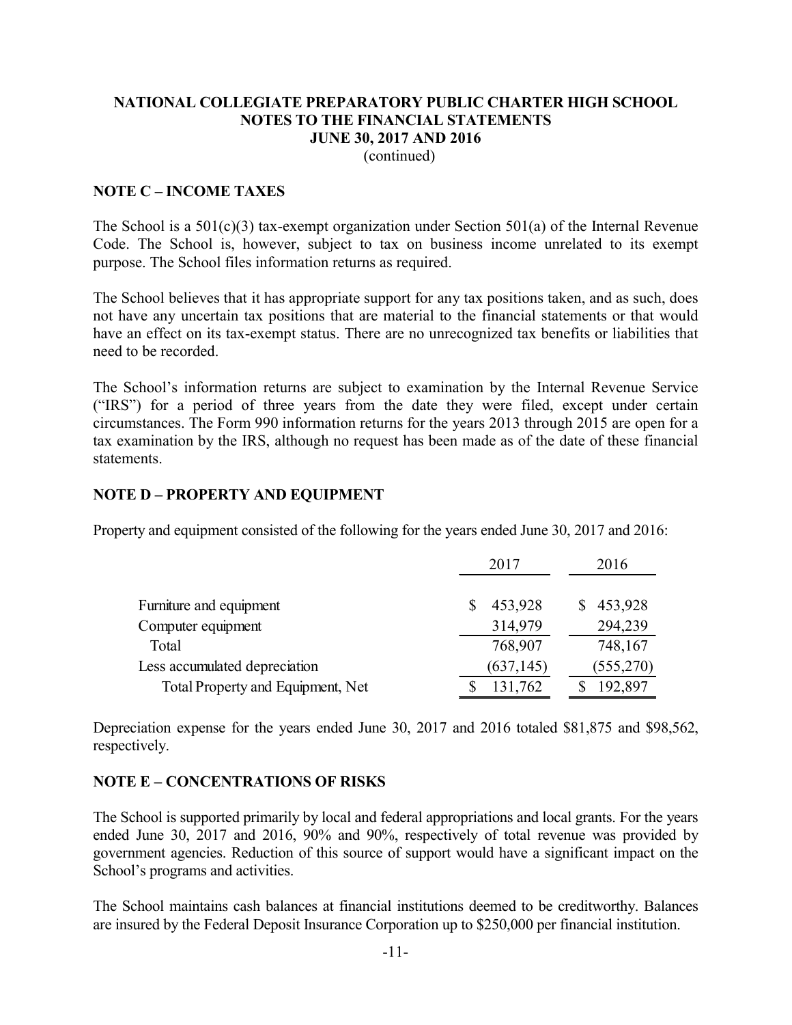(continued)

### **NOTE C – INCOME TAXES**

The School is a 501(c)(3) tax-exempt organization under Section 501(a) of the Internal Revenue Code. The School is, however, subject to tax on business income unrelated to its exempt purpose. The School files information returns as required.

The School believes that it has appropriate support for any tax positions taken, and as such, does not have any uncertain tax positions that are material to the financial statements or that would have an effect on its tax-exempt status. There are no unrecognized tax benefits or liabilities that need to be recorded.

The School's information returns are subject to examination by the Internal Revenue Service ("IRS") for a period of three years from the date they were filed, except under certain circumstances. The Form 990 information returns for the years 2013 through 2015 are open for a tax examination by the IRS, although no request has been made as of the date of these financial statements.

# **NOTE D – PROPERTY AND EQUIPMENT**

Property and equipment consisted of the following for the years ended June 30, 2017 and 2016:

|                                   |  | 2017       | 2016       |  |  |
|-----------------------------------|--|------------|------------|--|--|
| Furniture and equipment           |  | 453,928    | 453,928    |  |  |
| Computer equipment                |  | 314,979    | 294,239    |  |  |
| Total                             |  | 768,907    | 748,167    |  |  |
| Less accumulated depreciation     |  | (637, 145) | (555, 270) |  |  |
| Total Property and Equipment, Net |  | 131,762    | 192,897    |  |  |

Depreciation expense for the years ended June 30, 2017 and 2016 totaled \$81,875 and \$98,562, respectively.

### **NOTE E – CONCENTRATIONS OF RISKS**

The School is supported primarily by local and federal appropriations and local grants. For the years ended June 30, 2017 and 2016, 90% and 90%, respectively of total revenue was provided by government agencies. Reduction of this source of support would have a significant impact on the School's programs and activities.

The School maintains cash balances at financial institutions deemed to be creditworthy. Balances are insured by the Federal Deposit Insurance Corporation up to \$250,000 per financial institution.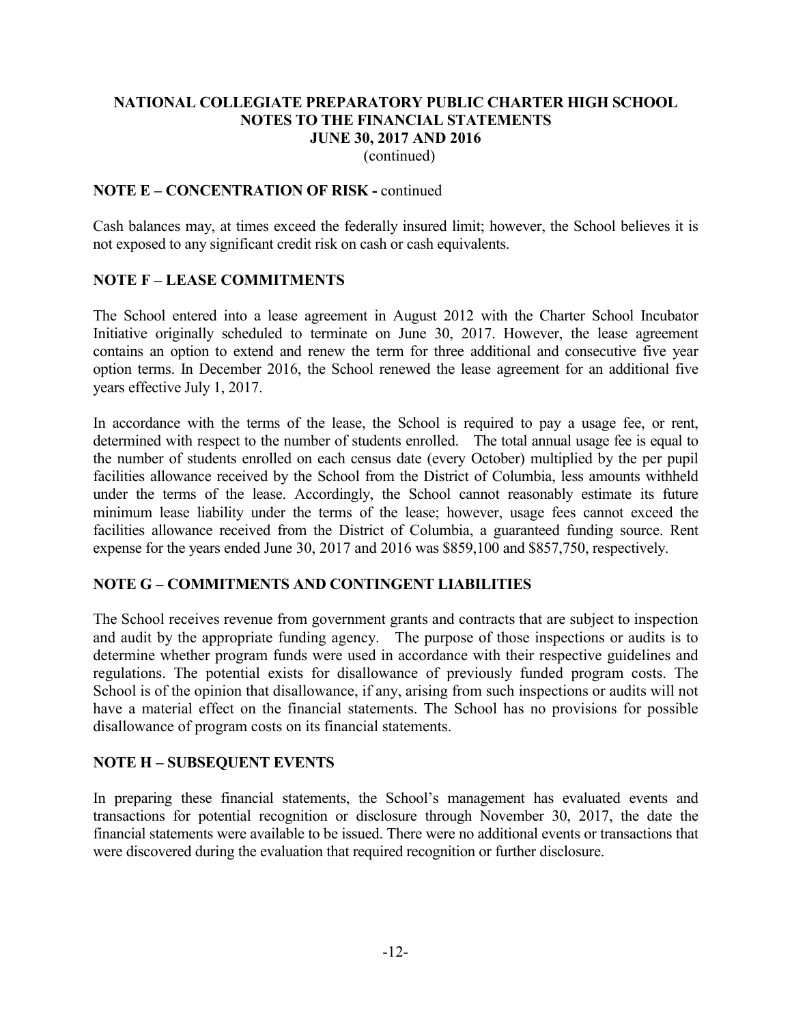(continued)

### **NOTE E – CONCENTRATION OF RISK -** continued

Cash balances may, at times exceed the federally insured limit; however, the School believes it is not exposed to any significant credit risk on cash or cash equivalents.

### **NOTE F – LEASE COMMITMENTS**

The School entered into a lease agreement in August 2012 with the Charter School Incubator Initiative originally scheduled to terminate on June 30, 2017. However, the lease agreement contains an option to extend and renew the term for three additional and consecutive five year option terms. In December 2016, the School renewed the lease agreement for an additional five years effective July 1, 2017.

In accordance with the terms of the lease, the School is required to pay a usage fee, or rent, determined with respect to the number of students enrolled. The total annual usage fee is equal to the number of students enrolled on each census date (every October) multiplied by the per pupil facilities allowance received by the School from the District of Columbia, less amounts withheld under the terms of the lease. Accordingly, the School cannot reasonably estimate its future minimum lease liability under the terms of the lease; however, usage fees cannot exceed the facilities allowance received from the District of Columbia, a guaranteed funding source. Rent expense for the years ended June 30, 2017 and 2016 was \$859,100 and \$857,750, respectively.

### **NOTE G – COMMITMENTS AND CONTINGENT LIABILITIES**

The School receives revenue from government grants and contracts that are subject to inspection and audit by the appropriate funding agency. The purpose of those inspections or audits is to determine whether program funds were used in accordance with their respective guidelines and regulations. The potential exists for disallowance of previously funded program costs. The School is of the opinion that disallowance, if any, arising from such inspections or audits will not have a material effect on the financial statements. The School has no provisions for possible disallowance of program costs on its financial statements.

### **NOTE H – SUBSEQUENT EVENTS**

In preparing these financial statements, the School's management has evaluated events and transactions for potential recognition or disclosure through November 30, 2017, the date the financial statements were available to be issued. There were no additional events or transactions that were discovered during the evaluation that required recognition or further disclosure.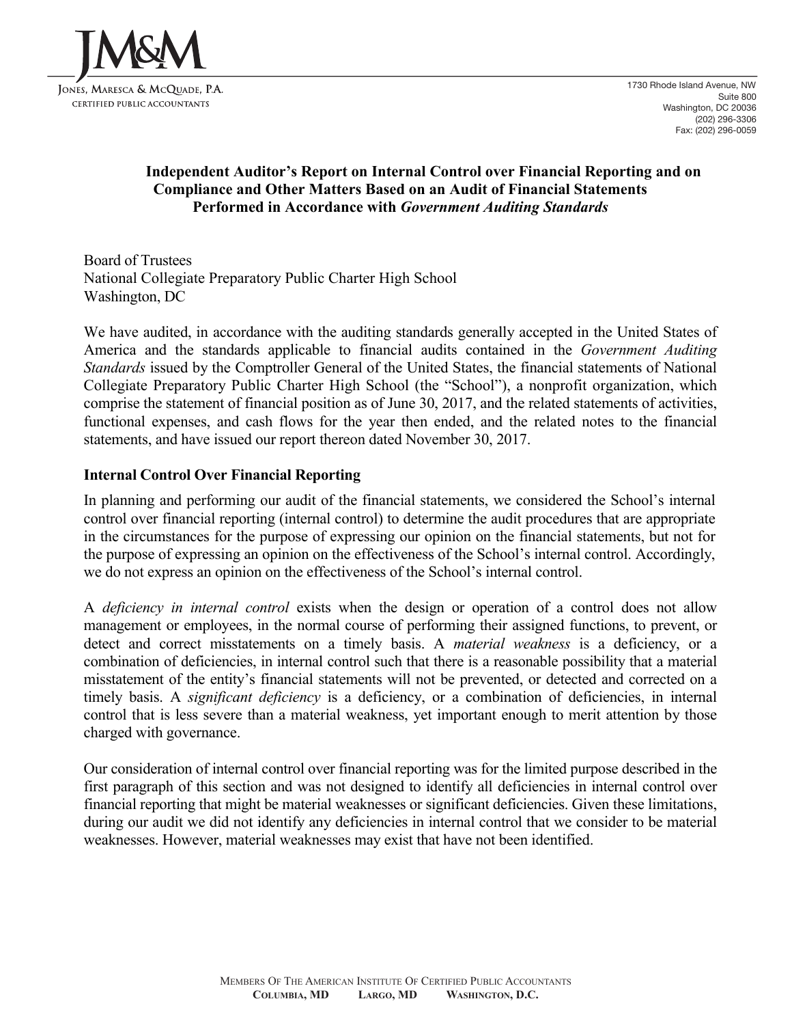

# **Independent Auditor's Report on Internal Control over Financial Reporting and on Compliance and Other Matters Based on an Audit of Financial Statements Performed in Accordance with** *Government Auditing Standards*

Board of Trustees National Collegiate Preparatory Public Charter High School Washington, DC

We have audited, in accordance with the auditing standards generally accepted in the United States of America and the standards applicable to financial audits contained in the *Government Auditing Standards* issued by the Comptroller General of the United States, the financial statements of National Collegiate Preparatory Public Charter High School (the "School"), a nonprofit organization, which comprise the statement of financial position as of June 30, 2017, and the related statements of activities, functional expenses, and cash flows for the year then ended, and the related notes to the financial statements, and have issued our report thereon dated November 30, 2017.

# **Internal Control Over Financial Reporting**

In planning and performing our audit of the financial statements, we considered the School's internal control over financial reporting (internal control) to determine the audit procedures that are appropriate in the circumstances for the purpose of expressing our opinion on the financial statements, but not for the purpose of expressing an opinion on the effectiveness of the School's internal control. Accordingly, we do not express an opinion on the effectiveness of the School's internal control.

A *deficiency in internal control* exists when the design or operation of a control does not allow management or employees, in the normal course of performing their assigned functions, to prevent, or detect and correct misstatements on a timely basis. A *material weakness* is a deficiency, or a combination of deficiencies, in internal control such that there is a reasonable possibility that a material misstatement of the entity's financial statements will not be prevented, or detected and corrected on a timely basis. A *significant deficiency* is a deficiency, or a combination of deficiencies, in internal control that is less severe than a material weakness, yet important enough to merit attention by those charged with governance.

Our consideration of internal control over financial reporting was for the limited purpose described in the first paragraph of this section and was not designed to identify all deficiencies in internal control over financial reporting that might be material weaknesses or significant deficiencies. Given these limitations, during our audit we did not identify any deficiencies in internal control that we consider to be material weaknesses. However, material weaknesses may exist that have not been identified.